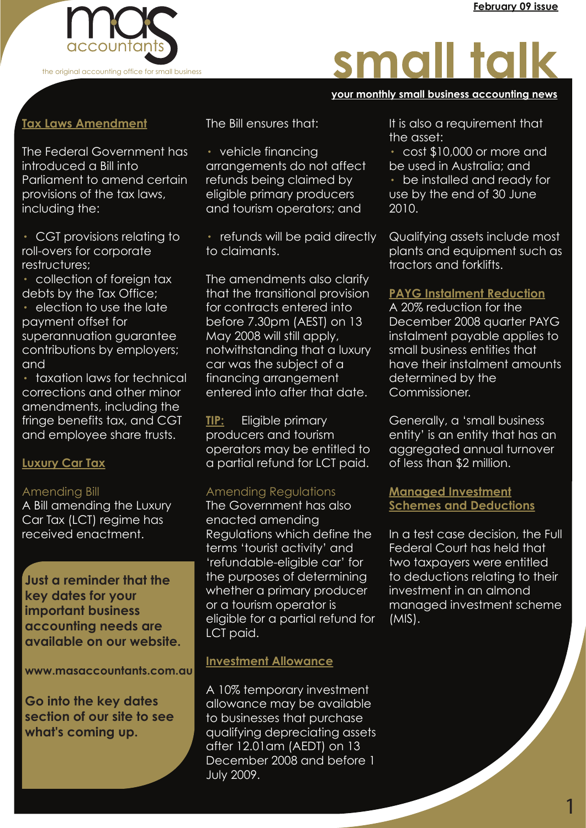

# small talk

#### **your monthly small business accounting news your monthly small business accounting news your monthly small business accounting news**

### **Tax Laws Amendment**

The Federal Government has introduced a Bill into Parliament to amend certain provisions of the tax laws, including the:

· CGT provisions relating to roll-overs for corporate restructures;

· collection of foreign tax debts by the Tax Office;

election to use the late payment offset for superannuation guarantee contributions by employers; and

· taxation laws for technical corrections and other minor amendments, including the fringe benefits tax, and CGT and employee share trusts.

#### **Luxury Car Tax**

#### Amending Bill

A Bill amending the Luxury Car Tax (LCT) regime has received enactment.

**Just a reminder that the key dates for your important business accounting needs are available on our website.** 

**www.masaccountants.com.au**

**Go into the key dates section of our site to see what's coming up.**

The Bill ensures that:

· vehicle financing arrangements do not affect refunds being claimed by eligible primary producers and tourism operators; and

· refunds will be paid directly to claimants.

The amendments also clarify that the transitional provision for contracts entered into before 7.30pm (AEST) on 13 May 2008 will still apply, notwithstanding that a luxury car was the subject of a financing arrangement entered into after that date.

**TIP:** Eligible primary producers and tourism operators may be entitled to a partial refund for LCT paid.

#### Amending Regulations

The Government has also enacted amending Regulations which define the terms 'tourist activity' and 'refundable-eligible car' for the purposes of determining whether a primary producer or a tourism operator is eligible for a partial refund for LCT paid.

#### **Investment Allowance**

A 10% temporary investment allowance may be available to businesses that purchase qualifying depreciating assets after 12.01am (AEDT) on 13 December 2008 and before 1 July 2009.

It is also a requirement that the asset:

· cost \$10,000 or more and be used in Australia; and · be installed and ready for use by the end of 30 June 2010.

Qualifying assets include most plants and equipment such as tractors and forklifts.

#### **PAYG Instalment Reduction**

A 20% reduction for the December 2008 quarter PAYG instalment payable applies to small business entities that have their instalment amounts determined by the Commissioner.

Generally, a 'small business entity' is an entity that has an aggregated annual turnover of less than \$2 million.

#### **Managed Investment Schemes and Deductions**

In a test case decision, the Full Federal Court has held that two taxpayers were entitled to deductions relating to their investment in an almond managed investment scheme (MIS).

1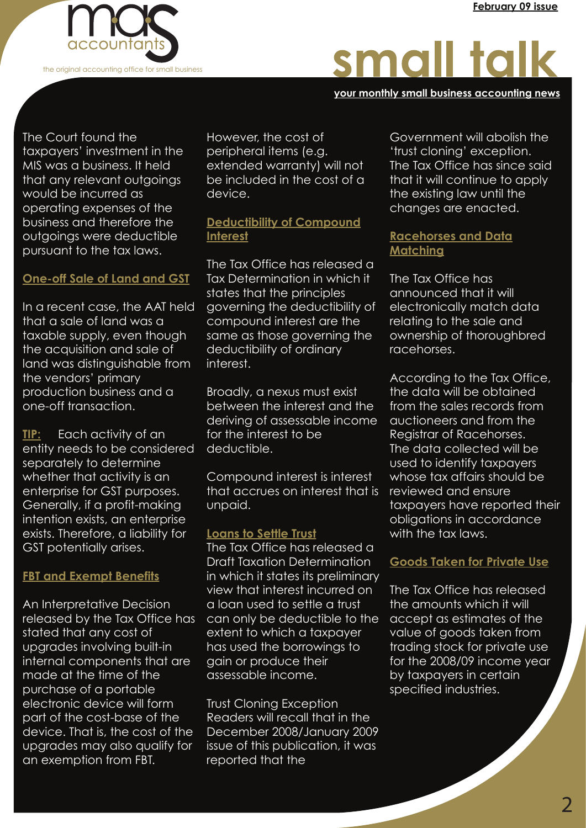

# small talk

**your monthly small business accounting news your monthly small business accounting news your monthly small business accounting news**

The Court found the taxpayers' investment in the MIS was a business. It held that any relevant outgoings would be incurred as operating expenses of the business and therefore the outgoings were deductible pursuant to the tax laws.

#### **One-off Sale of Land and GST**

In a recent case, the AAT held that a sale of land was a taxable supply, even though the acquisition and sale of land was distinguishable from the vendors' primary production business and a one-off transaction.

**TIP:** Each activity of an entity needs to be considered separately to determine whether that activity is an enterprise for GST purposes. Generally, if a profit-making intention exists, an enterprise exists. Therefore, a liability for GST potentially arises.

#### **FBT and Exempt Benefits**

An Interpretative Decision released by the Tax Office has stated that any cost of upgrades involving built-in internal components that are made at the time of the purchase of a portable electronic device will form part of the cost-base of the device. That is, the cost of the upgrades may also qualify for an exemption from FBT.

However, the cost of peripheral items (e.g. extended warranty) will not be included in the cost of a device.

#### **Deductibility of Compound Interest**

The Tax Office has released a Tax Determination in which it states that the principles governing the deductibility of compound interest are the same as those governing the deductibility of ordinary interest.

Broadly, a nexus must exist between the interest and the deriving of assessable income for the interest to be deductible.

Compound interest is interest that accrues on interest that is unpaid.

#### **Loans to Settle Trust**

The Tax Office has released a Draft Taxation Determination in which it states its preliminary view that interest incurred on a loan used to settle a trust can only be deductible to the extent to which a taxpayer has used the borrowings to gain or produce their assessable income.

Trust Cloning Exception Readers will recall that in the December 2008/January 2009 issue of this publication, it was reported that the

Government will abolish the 'trust cloning' exception. The Tax Office has since said that it will continue to apply the existing law until the changes are enacted.

#### **Racehorses and Data Matching**

The Tax Office has announced that it will electronically match data relating to the sale and ownership of thoroughbred racehorses.

According to the Tax Office, the data will be obtained from the sales records from auctioneers and from the Registrar of Racehorses. The data collected will be used to identify taxpayers whose tax affairs should be reviewed and ensure taxpayers have reported their obligations in accordance with the tax laws.

#### **Goods Taken for Private Use**

The Tax Office has released the amounts which it will accept as estimates of the value of goods taken from trading stock for private use for the 2008/09 income year by taxpayers in certain specified industries.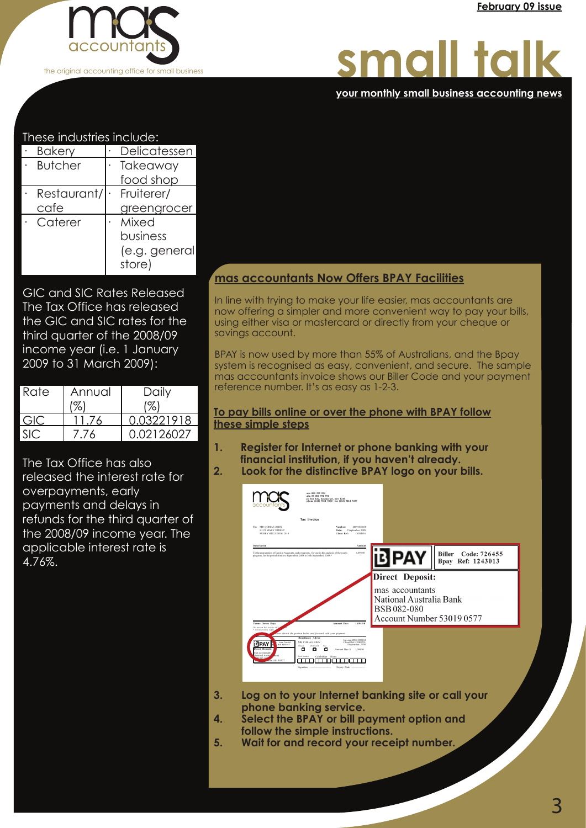

#### **your monthly small business accounting news your monthly small business accounting news your monthly small business accounting news**

#### These industries include:

| <b>Bakery</b>   | Delicatessen  |
|-----------------|---------------|
| <b>Butcher</b>  | Takeaway      |
|                 | food shop     |
| Restaurant/     | Fruiterer/    |
| cafe            | greengrocer   |
| $\cdot$ Caterer | Mixed         |
|                 | business      |
|                 | (e.g. general |
|                 | store)        |

GIC and SIC Rates Released The Tax Office has released the GIC and SIC rates for the third quarter of the 2008/09 income year (i.e. 1 January 2009 to 31 March 2009):

| Rate | Annual | Daily      |
|------|--------|------------|
|      |        |            |
| GK)  |        | 0.03221918 |
|      | 76     | 0.02126027 |

The Tax Office has also released the interest rate for overpayments, early payments and delays in refunds for the third quarter of the 2008/09 income year. The applicable interest rate is 4.76%.

#### **mas accountants Now Offers BPAY Facilities**

In line with trying to make your life easier, mas accountants are now offering a simpler and more convenient way to pay your bills, using either visa or mastercard or directly from your cheque or savings account.

BPAY is now used by more than 55% of Australians, and the Bpay system is recognised as easy, convenient, and secure. The sample mas accountants invoice shows our Biller Code and your payment reference number. It's as easy as 1-2-3.

#### **To pay bills online or over the phone with BPAY follow these simple steps**

- **1. Register for Internet or phone banking with your financial institution, if you haven't already.**<br>**2.** Look for the distinctive BPAY logo on your
- **2. Look for the distinctive BPAY logo on your bills.**



- **3. Log on to your Internet banking site or call your phone banking service.**<br>**4.** Select the BPAY or bill po
- **4. Select the BPAY or bill payment option and follow the simple instructions.**
- **5. Wait for and record your receipt number.**